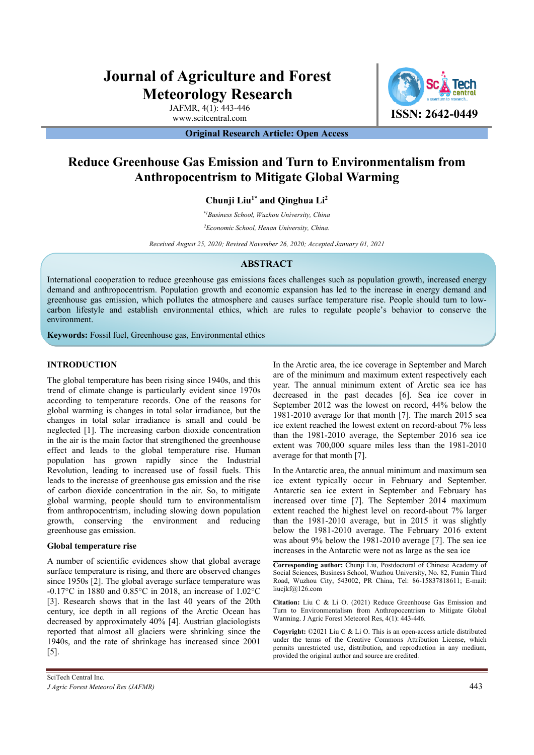# **Journal of Agriculture and Forest Meteorology Research**

JAFMR, 4(1): 443-446

Www.scitcentral.com **ISSN: 2642-0449** 

**Original Research Article: Open Access** 

# **Reduce Greenhouse Gas Emission and Turn to Environmentalism from Anthropocentrism to Mitigate Global Warming**

**Chunji Liu1\* and Qinghua Li2**

*\*1Business School, Wuzhou University, China*

*2 Economic School, Henan University, China.* 

*Received August 25, 2020; Revised November 26, 2020; Accepted January 01, 2021*

# **ABSTRACT**

International cooperation to reduce greenhouse gas emissions faces challenges such as population growth, increased energy demand and anthropocentrism. Population growth and economic expansion has led to the increase in energy demand and greenhouse gas emission, which pollutes the atmosphere and causes surface temperature rise. People should turn to lowcarbon lifestyle and establish environmental ethics, which are rules to regulate people's behavior to conserve the environment.

**Keywords:** Fossil fuel, Greenhouse gas, Environmental ethics

# **INTRODUCTION**

The global temperature has been rising since 1940s, and this trend of climate change is particularly evident since 1970s according to temperature records. One of the reasons for global warming is changes in total solar irradiance, but the changes in total solar irradiance is small and could be neglected [1]. The increasing carbon dioxide concentration in the air is the main factor that strengthened the greenhouse effect and leads to the global temperature rise. Human population has grown rapidly since the Industrial Revolution, leading to increased use of fossil fuels. This leads to the increase of greenhouse gas emission and the rise of carbon dioxide concentration in the air. So, to mitigate global warming, people should turn to environmentalism from anthropocentrism, including slowing down population growth, conserving the environment and reducing greenhouse gas emission.

#### **Global temperature rise**

A number of scientific evidences show that global average surface temperature is rising, and there are observed changes since 1950s [2]. The global average surface temperature was -0.17°C in 1880 and 0.85°C in 2018, an increase of 1.02°C [3]. Research shows that in the last 40 years of the 20th century, ice depth in all regions of the Arctic Ocean has decreased by approximately 40% [4]. Austrian glaciologists reported that almost all glaciers were shrinking since the 1940s, and the rate of shrinkage has increased since 2001 [5].

In the Arctic area, the ice coverage in September and March are of the minimum and maximum extent respectively each year. The annual minimum extent of Arctic sea ice has decreased in the past decades [6]. Sea ice cover in September 2012 was the lowest on record, 44% below the 1981-2010 average for that month [7]. The march 2015 sea ice extent reached the lowest extent on record-about 7% less than the 1981-2010 average, the September 2016 sea ice extent was 700,000 square miles less than the 1981-2010 average for that month [7].

In the Antarctic area, the annual minimum and maximum sea ice extent typically occur in February and September. Antarctic sea ice extent in September and February has increased over time [7]. The September 2014 maximum extent reached the highest level on record-about 7% larger than the 1981-2010 average, but in 2015 it was slightly below the 1981-2010 average. The February 2016 extent was about 9% below the 1981-2010 average [7]. The sea ice increases in the Antarctic were not as large as the sea ice

**Corresponding author:** Chunji Liu, Postdoctoral of Chinese Academy of Social Sciences, Business School, Wuzhou University, No. 82, Fumin Third Road, Wuzhou City, 543002, PR China, Tel: 86-15837818611; E-mail: liucjkf@126.com

**Citation:** Liu C & Li O. (2021) Reduce Greenhouse Gas Emission and Turn to Environmentalism from Anthropocentrism to Mitigate Global Warming. J Agric Forest Meteorol Res, 4(1): 443-446.

**Copyright:** ©2021 Liu C & Li O. This is an open-access article distributed under the terms of the Creative Commons Attribution License, which permits unrestricted use, distribution, and reproduction in any medium, provided the original author and source are credited.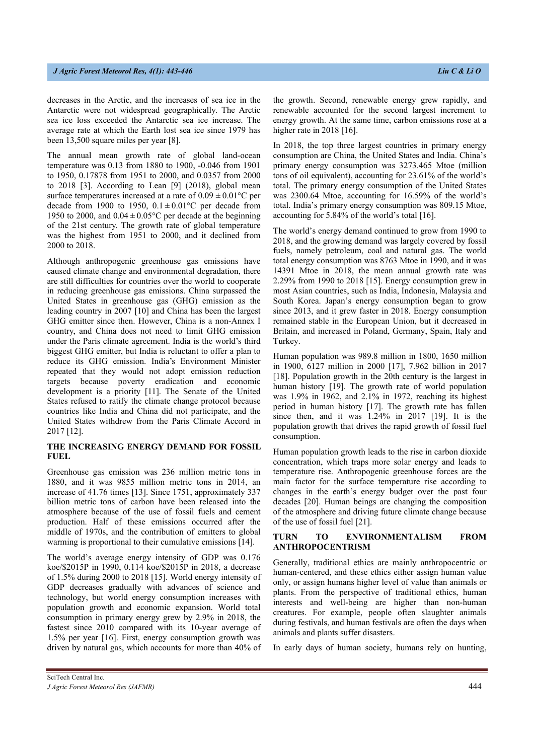# *J Agric Forest Meteorol Res, 4(1): 443-446* Liu C & Li O *Liu C & Li O*  $\mu$  *Liu C & Li O*  $\mu$  *Liu C & Li O*  $\mu$  *Liu C & Li O*

decreases in the Arctic, and the increases of sea ice in the Antarctic were not widespread geographically. The Arctic sea ice loss exceeded the Antarctic sea ice increase. The average rate at which the Earth lost sea ice since 1979 has been 13,500 square miles per year [8].

The annual mean growth rate of global land-ocean temperature was 0.13 from 1880 to 1900, -0.046 from 1901 to 1950, 0.17878 from 1951 to 2000, and 0.0357 from 2000 to 2018 [3]. According to Lean [9] (2018), global mean surface temperatures increased at a rate of  $0.09 \pm 0.01$  °C per decade from 1900 to 1950,  $0.1 \pm 0.01$ °C per decade from 1950 to 2000, and  $0.04 \pm 0.05^{\circ}$ C per decade at the beginning of the 21st century. The growth rate of global temperature was the highest from 1951 to 2000, and it declined from 2000 to 2018.

Although anthropogenic greenhouse gas emissions have caused climate change and environmental degradation, there are still difficulties for countries over the world to cooperate in reducing greenhouse gas emissions. China surpassed the United States in greenhouse gas (GHG) emission as the leading country in 2007 [10] and China has been the largest GHG emitter since then. However, China is a non-Annex I country, and China does not need to limit GHG emission under the Paris climate agreement. India is the world's third biggest GHG emitter, but India is reluctant to offer a plan to reduce its GHG emission. India's Environment Minister repeated that they would not adopt emission reduction targets because poverty eradication and economic development is a priority [11]. The Senate of the United States refused to ratify the climate change protocol because countries like India and China did not participate, and the United States withdrew from the Paris Climate Accord in 2017 [12].

#### **THE INCREASING ENERGY DEMAND FOR FOSSIL FUEL**

Greenhouse gas emission was 236 million metric tons in 1880, and it was 9855 million metric tons in 2014, an increase of 41.76 times [13]. Since 1751, approximately 337 billion metric tons of carbon have been released into the atmosphere because of the use of fossil fuels and cement production. Half of these emissions occurred after the middle of 1970s, and the contribution of emitters to global warming is proportional to their cumulative emissions [14].

The world's average energy intensity of GDP was 0.176 koe/\$2015P in 1990, 0.114 koe/\$2015P in 2018, a decrease of 1.5% during 2000 to 2018 [15]. World energy intensity of GDP decreases gradually with advances of science and technology, but world energy consumption increases with population growth and economic expansion. World total consumption in primary energy grew by 2.9% in 2018, the fastest since 2010 compared with its 10-year average of 1.5% per year [16]. First, energy consumption growth was driven by natural gas, which accounts for more than 40% of the growth. Second, renewable energy grew rapidly, and renewable accounted for the second largest increment to energy growth. At the same time, carbon emissions rose at a higher rate in 2018 [16].

In 2018, the top three largest countries in primary energy consumption are China, the United States and India. China's primary energy consumption was 3273.465 Mtoe (million tons of oil equivalent), accounting for 23.61% of the world's total. The primary energy consumption of the United States was 2300.64 Mtoe, accounting for 16.59% of the world's total. India's primary energy consumption was 809.15 Mtoe, accounting for 5.84% of the world's total [16].

The world's energy demand continued to grow from 1990 to 2018, and the growing demand was largely covered by fossil fuels, namely petroleum, coal and natural gas. The world total energy consumption was 8763 Mtoe in 1990, and it was 14391 Mtoe in 2018, the mean annual growth rate was 2.29% from 1990 to 2018 [15]. Energy consumption grew in most Asian countries, such as India, Indonesia, Malaysia and South Korea. Japan's energy consumption began to grow since 2013, and it grew faster in 2018. Energy consumption remained stable in the European Union, but it decreased in Britain, and increased in Poland, Germany, Spain, Italy and Turkey.

Human population was 989.8 million in 1800, 1650 million in 1900, 6127 million in 2000 [17], 7.962 billion in 2017 [18]. Population growth in the 20th century is the largest in human history [19]. The growth rate of world population was 1.9% in 1962, and 2.1% in 1972, reaching its highest period in human history [17]. The growth rate has fallen since then, and it was 1.24% in 2017 [19]. It is the population growth that drives the rapid growth of fossil fuel consumption.

Human population growth leads to the rise in carbon dioxide concentration, which traps more solar energy and leads to temperature rise. Anthropogenic greenhouse forces are the main factor for the surface temperature rise according to changes in the earth's energy budget over the past four decades [20]. Human beings are changing the composition of the atmosphere and driving future climate change because of the use of fossil fuel [21].

# **TURN TO ENVIRONMENTALISM FROM ANTHROPOCENTRISM**

Generally, traditional ethics are mainly anthropocentric or human-centered, and these ethics either assign human value only, or assign humans higher level of value than animals or plants. From the perspective of traditional ethics, human interests and well-being are higher than non-human creatures. For example, people often slaughter animals during festivals, and human festivals are often the days when animals and plants suffer disasters.

In early days of human society, humans rely on hunting,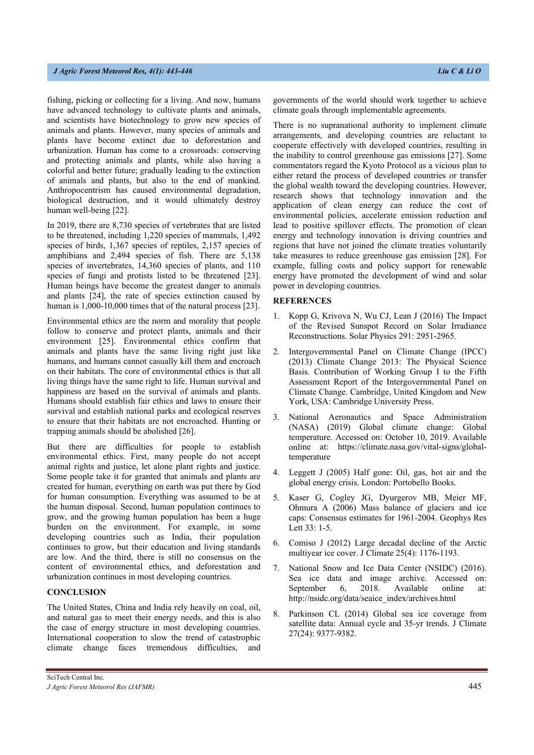# *J Agric Forest Meteorol Res, 4(1): 443-446* Liu C & Liu C & Liu C & Liu C & Liu C & Liu C & Liu C & Liu C & Liu C & Liu C & Liu C & Liu C & Liu C & Liu C & Liu C & Liu C & Liu C & Liu C & Liu C & Liu C & Liu C & Liu C & L

fishing, picking or collecting for a living. And now, humans have advanced technology to cultivate plants and animals, and scientists have biotechnology to grow new species of animals and plants. However, many species of animals and plants have become extinct due to deforestation and urbanization. Human has come to a crossroads: conserving and protecting animals and plants, while also having a colorful and better future; gradually leading to the extinction of animals and plants, but also to the end of mankind. Anthropocentrism has caused environmental degradation, biological destruction, and it would ultimately destroy human well-being [22].

In 2019, there are 8,730 species of vertebrates that are listed to be threatened, including 1,220 species of mammals, 1,492 species of birds, 1,367 species of reptiles, 2,157 species of amphibians and 2,494 species of fish. There are 5,138 species of invertebrates, 14,360 species of plants, and 110 species of fungi and protists listed to be threatened [23]. Human beings have become the greatest danger to animals and plants [24], the rate of species extinction caused by human is 1,000-10,000 times that of the natural process [23].

Environmental ethics are the norm and morality that people follow to conserve and protect plants, animals and their environment [25]. Environmental ethics confirm that animals and plants have the same living right just like humans, and humans cannot casually kill them and encroach on their habitats. The core of environmental ethics is that all living things have the same right to life. Human survival and happiness are based on the survival of animals and plants. Humans should establish fair ethics and laws to ensure their survival and establish national parks and ecological reserves to ensure that their habitats are not encroached. Hunting or trapping animals should be abolished [26].

But there are difficulties for people to establish environmental ethics. First, many people do not accept animal rights and justice, let alone plant rights and justice. Some people take it for granted that animals and plants are created for human, everything on earth was put there by God for human consumption. Everything was assumed to be at the human disposal. Second, human population continues to grow, and the growing human population has been a huge burden on the environment. For example, in some developing countries such as India, their population continues to grow, but their education and living standards are low. And the third, there is still no consensus on the content of environmental ethics, and deforestation and urbanization continues in most developing countries.

#### **CONCLUSION**

The United States, China and India rely heavily on coal, oil, and natural gas to meet their energy needs, and this is also the case of energy structure in most developing countries. International cooperation to slow the trend of catastrophic climate change faces tremendous difficulties, and governments of the world should work together to achieve climate goals through implementable agreements.

There is no supranational authority to implement climate arrangements, and developing countries are reluctant to cooperate effectively with developed countries, resulting in the inability to control greenhouse gas emissions [27]. Some commentators regard the Kyoto Protocol as a vicious plan to either retard the process of developed countries or transfer the global wealth toward the developing countries. However, research shows that technology innovation and the application of clean energy can reduce the cost of environmental policies, accelerate emission reduction and lead to positive spillover effects. The promotion of clean energy and technology innovation is driving countries and regions that have not joined the climate treaties voluntarily take measures to reduce greenhouse gas emission [28]. For example, falling costs and policy support for renewable energy have promoted the development of wind and solar power in developing countries.

## **REFERENCES**

- 1. Kopp G, Krivova N, Wu CJ, Lean J (2016) The Impact of the Revised Sunspot Record on Solar Irradiance Reconstructions. Solar Physics 291: 2951-2965.
- 2. Intergovernmental Panel on Climate Change (IPCC) (2013) Climate Change 2013: The Physical Science Basis. Contribution of Working Group I to the Fifth Assessment Report of the Intergovernmental Panel on Climate Change. Cambridge, United Kingdom and New York, USA: Cambridge University Press.
- 3. National Aeronautics and Space Administration (NASA) (2019) Global climate change: Global temperature. Accessed on: October 10, 2019. Available online at: https://climate.nasa.gov/vital-signs/globaltemperature
- 4. Leggett J (2005) Half gone: Oil, gas, hot air and the global energy crisis. London: Portobello Books.
- 5. Kaser G, Cogley JG, Dyurgerov MB, Meier MF, Ohmura A (2006) Mass balance of glaciers and ice caps: Consensus estimates for 1961-2004. Geophys Res Lett 33: 1-5.
- 6. Comiso J (2012) Large decadal decline of the Arctic multiyear ice cover. J Climate 25(4): 1176-1193.
- 7. National Snow and Ice Data Center (NSIDC) (2016). Sea ice data and image archive. Accessed on: September 6, 2018. Available online at: http://nsidc.org/data/seaice\_index/archives.html
- Parkinson CL (2014) Global sea ice coverage from satellite data: Annual cycle and 35-yr trends. J Climate 27(24): 9377-9382.